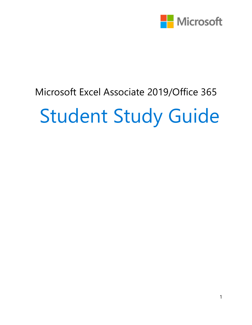

# Microsoft Excel Associate 2019/Office 365 Student Study Guide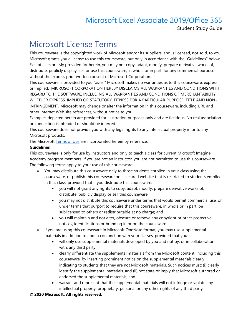Student Study Guide

#### Microsoft License Terms

This courseware is the copyrighted work of Microsoft and/or its suppliers, and is licensed, not sold, to you. Microsoft grants you a license to use this courseware, but only in accordance with the "Guidelines" below. Except as expressly provided for herein, you may not copy, adapt, modify, prepare derivative works of, distribute, publicly display, sell or use this courseware, in whole or in part, for any commercial purpose without the express prior written consent of Microsoft Corporation.

This courseware is provided to you "as-is." Microsoft makes no warranties as to this courseware, express or implied. MICROSOFT CORPORATION HEREBY DISCLAIMS ALL WARRANTIES AND CONDITIONS WITH REGARD TO THE SOFTWARE, INCLUDING ALL WARRANTIES AND CONDITIONS OF MERCHANTABILITY, WHETHER EXPRESS, IMPLIED OR STATUTORY, FITNESS FOR A PARTICULAR PURPOSE, TITLE AND NON-INFRINGEMENT. Microsoft may change or alter the information in this courseware, including URL and other Internet Web site references, without notice to you.

Examples depicted herein are provided for illustration purposes only and are fictitious. No real association or connection is intended or should be inferred.

This courseware does not provide you with any legal rights to any intellectual property in or to any Microsoft products.

The Microsoft [Terms of Use](https://aka.ms/Terms_of_Use) are incorporated herein by reference.

#### **Guidelines**

This courseware is only for use by instructors and only to teach a class for current Microsoft Imagine Academy program members. If you are not an instructor, you are not permitted to use this courseware. The following terms apply to your use of this courseware:

- You may distribute this courseware only to those students enrolled in your class using the courseware, or publish this courseware on a secured website that is restricted to students enrolled in that class, provided that if you distribute this courseware:
	- you will not grant any rights to copy, adapt, modify, prepare derivative works of, distribute, publicly display or sell this courseware;
	- you may not distribute this courseware under terms that would permit commercial use, or under terms that purport to require that this courseware, in whole or in part, be sublicensed to others or redistributable at no charge; and
	- you will maintain and not alter, obscure or remove any copyright or other protective notices, identifications or branding in or on the courseware.
- If you are using this courseware in Microsoft OneNote format, you may use supplemental materials in addition to and in conjunction with your classes, provided that you:
	- will only use supplemental materials developed by you and not by, or in collaboration with, any third party;
	- clearly differentiate the supplemental materials from the Microsoft content, including this courseware, by inserting prominent notice on the supplemental materials clearly indicating to students that they are not Microsoft materials. Such notices must: (i) clearly identify the supplemental materials, and (ii) not state or imply that Microsoft authored or endorsed the supplemental materials; and
	- warrant and represent that the supplemental materials will not infringe or violate any intellectual property, proprietary, personal or any other rights of any third party.

#### **© 2020 Microsoft. All rights reserved.**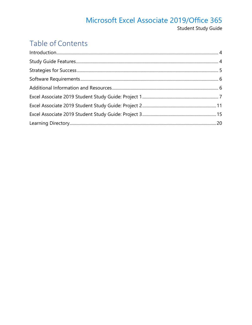#### Microsoft Excel Associate 2019/Office 365 Student Study Guide

#### Table of Contents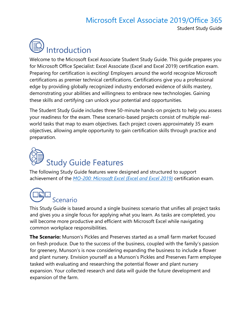Student Study Guide

<span id="page-3-0"></span>

Welcome to the Microsoft Excel Associate Student Study Guide. This guide prepares you for Microsoft Office Specialist: Excel Associate (Excel and Excel 2019) certification exam. Preparing for certification is exciting! Employers around the world recognize Microsoft certifications as premier technical certifications. Certifications give you a professional edge by providing globally recognized industry endorsed evidence of skills mastery, demonstrating your abilities and willingness to embrace new technologies. Gaining these skills and certifying can unlock your potential and opportunities.

The Student Study Guide includes three 50-minute hands-on projects to help you assess your readiness for the exam. These scenario-based projects consist of multiple realworld tasks that map to exam objectives. Each project covers approximately 35 exam objectives, allowing ample opportunity to gain certification skills through practice and preparation.

# <span id="page-3-1"></span>Study Guide Features

The following Study Guide features were designed and structured to support achievement of the *[MO-200: Microsoft Excel \(Excel and Excel 2019\)](https://aka.ms/MO-200_Microsoft_Excel)* certification exam.

# Scenario

This Study Guide is based around a single business scenario that unifies all project tasks and gives you a single focus for applying what you learn. As tasks are completed, you will become more productive and efficient with Microsoft Excel while navigating common workplace responsibilities.

**The Scenario:** Munson's Pickles and Preserves started as a small farm market focused on fresh produce. Due to the success of the business, coupled with the family's passion for greenery, Munson's is now considering expanding the business to include a flower and plant nursery. Envision yourself as a Munson's Pickles and Preserves Farm employee tasked with evaluating and researching the potential flower and plant nursery expansion. Your collected research and data will guide the future development and expansion of the farm.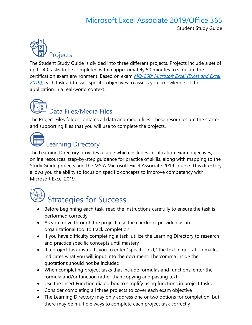Student Study Guide



The Student Study Guide is divided into three different projects. Projects include a set of up to 40 tasks to be completed within approximately 50 minutes to simulate the certification exam environment. Based on exam *[MO-200: Microsoft Excel](https://aka.ms/MO-200_Microsoft_Excel) (Excel and Excel [2019\)](https://aka.ms/MO-200_Microsoft_Excel)*, each task addresses specific objectives to assess your knowledge of the application in a real-world context.

# Data Files/Media Files

The Project Files folder contains all data and media files. These resources are the starter and supporting files that you will use to complete the projects.



### Learning Directory

The Learning Directory provides a table which includes certification exam objectives, online resources, step-by-step guidance for practice of skills, along with mapping to the Study Guide projects and the MSIA Microsoft Excel Associate 2019 course. This directory allows you the ability to focus on specific concepts to improve competency with Microsoft Excel 2019.

<span id="page-4-0"></span>

# Strategies for Success

- Before beginning each task, read the instructions carefully to ensure the task is performed correctly
- As you move through the project, use the checkbox provided as an organizational tool to track completion
- If you have difficulty completing a task, utilize the Learning Directory to research and practice specific concepts until mastery
- If a project task instructs you to enter "specific text," the text in quotation marks indicates what you will input into the document. The comma inside the quotations should not be included
- When completing project tasks that include formulas and functions, enter the formula and/or function rather than copying and pasting text
- Use the Insert Function dialog box to simplify using functions in project tasks
- Consider completing all three projects to cover each exam objective
- The Learning Directory may only address one or two options for completion, but there may be multiple ways to complete each project task correctly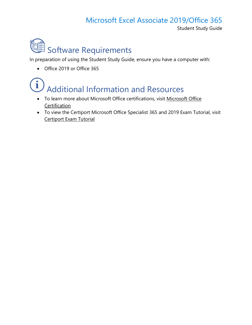Student Study Guide

<span id="page-5-0"></span>

In preparation of using the Student Study Guide, ensure you have a computer with:

• Office 2019 or Office 365

# <span id="page-5-1"></span>Additional Information and Resources

- To learn more about [Microsoft Office](https://aka.ms/MOS_certification_overview) certifications, visit Microsoft Office **[Certification](https://aka.ms/MOS_certification_overview)**
- To view the Certiport Microsoft Office Specialist 365 and 2019 Exam Tutorial, visit [Certiport Exam Tutorial](https://certiport.pearsonvue.com/Educator-resources/Exam-details/Exam-tutorials/MOS-2019/MOS_365and2019_Tutorial.pdf)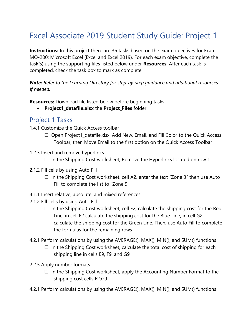# <span id="page-6-0"></span>Excel Associate 2019 Student Study Guide: Project 1

**Instructions:** In this project there are 36 tasks based on the exam objectives for Exam MO-200: Microsoft Excel (Excel and Excel 2019). For each exam objective, complete the task(s) using the supporting files listed below under **Resources**. After each task is completed, check the task box to mark as complete.

*Note: Refer to the Learning Directory for step-by-step guidance and additional resources, if needed.*

**Resources:** Download file listed below before beginning tasks

• **Project1\_datafile.xlsx** the **Project\_Files** folder

#### Project 1 Tasks

1.4.1 Customize the Quick Access toolbar

- ☐ Open Project1\_datafile.xlsx. Add New, Email, and Fill Color to the Quick Access Toolbar, then Move Email to the first option on the Quick Access Toolbar
- 1.2.3 Insert and remove hyperlinks
	- $\Box$  In the Shipping Cost worksheet, Remove the Hyperlinks located on row 1
- 2.1.2 Fill cells by using Auto Fill
	- $\Box$  In the Shipping Cost worksheet, cell A2, enter the text "Zone 3" then use Auto Fill to complete the list to "Zone 9"
- 4.1.1 Insert relative, absolute, and mixed references
- 2.1.2 Fill cells by using Auto Fill
	- $\Box$  In the Shipping Cost worksheet, cell E2, calculate the shipping cost for the Red Line, in cell F2 calculate the shipping cost for the Blue Line, in cell G2 calculate the shipping cost for the Green Line. Then, use Auto Fill to complete the formulas for the remaining rows
- 4.2.1 Perform calculations by using the AVERAGE(), MAX(), MIN(), and SUM() functions  $\Box$  In the Shipping Cost worksheet, calculate the total cost of shipping for each
	- shipping line in cells E9, F9, and G9
- 2.2.5 Apply number formats
	- $\Box$  In the Shipping Cost worksheet, apply the Accounting Number Format to the shipping cost cells E2:G9
- 4.2.1 Perform calculations by using the AVERAGE(), MAX(), MIN(), and SUM() functions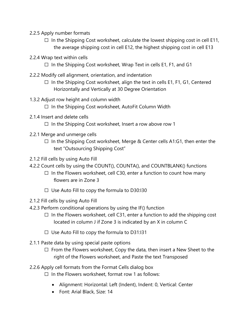- 2.2.5 Apply number formats
	- $\Box$  In the Shipping Cost worksheet, calculate the lowest shipping cost in cell E11, the average shipping cost in cell E12, the highest shipping cost in cell E13
- 2.2.4 Wrap text within cells
	- $\Box$  In the Shipping Cost worksheet, Wrap Text in cells E1, F1, and G1
- 2.2.2 Modify cell alignment, orientation, and indentation
	- $\Box$  In the Shipping Cost worksheet, align the text in cells E1, F1, G1, Centered Horizontally and Vertically at 30 Degree Orientation
- 1.3.2 Adjust row height and column width
	- ☐ In the Shipping Cost worksheet, AutoFit Column Width
- 2.1.4 Insert and delete cells
	- $\Box$  In the Shipping Cost worksheet, Insert a row above row 1
- 2.2.1 Merge and unmerge cells
	- $\Box$  In the Shipping Cost worksheet, Merge & Center cells A1:G1, then enter the text "Outsourcing Shipping Cost"
- 2.1.2 Fill cells by using Auto Fill
- 4.2.2 Count cells by using the COUNT(), COUNTA(), and COUNTBLANK() functions
	- $\Box$  In the Flowers worksheet, cell C30, enter a function to count how many flowers are in Zone 3
	- $\Box$  Use Auto Fill to copy the formula to D30:130
- 2.1.2 Fill cells by using Auto Fill
- 4.2.3 Perform conditional operations by using the IF() function
	- $\Box$  In the Flowers worksheet, cell C31, enter a function to add the shipping cost located in column J if Zone 3 is indicated by an X in column C
	- $\Box$  Use Auto Fill to copy the formula to D31:131
- 2.1.1 Paste data by using special paste options
	- $\Box$  From the Flowers worksheet, Copy the data, then insert a New Sheet to the right of the Flowers worksheet, and Paste the text Transposed
- 2.2.6 Apply cell formats from the Format Cells dialog box
	- $\Box$  In the Flowers worksheet, format row 1 as follows:
		- Alignment: Horizontal: Left (Indent), Indent: 0, Vertical: Center
		- Font: Arial Black, Size: 14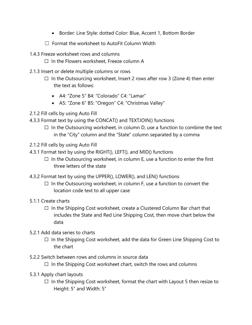- Border: Line Style: dotted Color: Blue, Accent 1, Bottom Border
- ☐ Format the worksheet to AutoFit Column Width
- 1.4.3 Freeze worksheet rows and columns
	- ☐ In the Flowers worksheet, Freeze column A
- 2.1.3 Insert or delete multiple columns or rows
	- $\Box$  In the Outsourcing worksheet, Insert 2 rows after row 3 (Zone 4) then enter the text as follows:
		- A4: "Zone 5" B4: "Colorado" C4: "Lamar"
		- A5: "Zone 6" B5: "Oregon" C4: "Christmas Valley"
- 2.1.2 Fill cells by using Auto Fill
- 4.3.3 Format text by using the CONCAT() and TEXTJOIN() functions
	- $\Box$  In the Outsourcing worksheet, in column D, use a function to combine the text in the "City" column and the "State" column separated by a comma
- 2.1.2 Fill cells by using Auto Fill
- 4.3.1 Format text by using the RIGHT(), LEFT(), and MID() functions
	- $\Box$  In the Outsourcing worksheet, in column E, use a function to enter the first three letters of the state
- 4.3.2 Format text by using the UPPER(), LOWER(), and LEN() functions
	- $\Box$  In the Outsourcing worksheet, in column F, use a function to convert the location code text to all upper case
- 5.1.1 Create charts
	- ☐ In the Shipping Cost worksheet, create a Clustered Column Bar chart that includes the State and Red Line Shipping Cost, then move chart below the data
- 5.2.1 Add data series to charts
	- $\Box$  In the Shipping Cost worksheet, add the data for Green Line Shipping Cost to the chart
- 5.2.2 Switch between rows and columns in source data
	- $\Box$  In the Shipping Cost worksheet chart, switch the rows and columns
- 5.3.1 Apply chart layouts
	- $\Box$  In the Shipping Cost worksheet, format the chart with Layout 5 then resize to Height: 5" and Width: 5"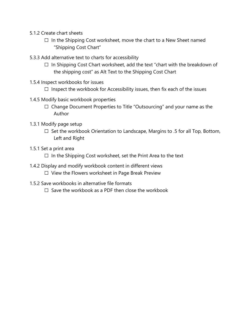- 5.1.2 Create chart sheets
	- $\Box$  In the Shipping Cost worksheet, move the chart to a New Sheet named "Shipping Cost Chart"
- 5.3.3 Add alternative text to charts for accessibility
	- $\Box$  In Shipping Cost Chart worksheet, add the text "chart with the breakdown of the shipping cost" as Alt Text to the Shipping Cost Chart
- 1.5.4 Inspect workbooks for issues
	- $\Box$  Inspect the workbook for Accessibility issues, then fix each of the issues
- 1.4.5 Modify basic workbook properties
	- ☐ Change Document Properties to Title "Outsourcing" and your name as the Author
- 1.3.1 Modify page setup
	- □ Set the workbook Orientation to Landscape, Margins to .5 for all Top, Bottom, Left and Right
- 1.5.1 Set a print area
	- $\Box$  In the Shipping Cost worksheet, set the Print Area to the text
- 1.4.2 Display and modify workbook content in different views
	- ☐ View the Flowers worksheet in Page Break Preview
- 1.5.2 Save workbooks in alternative file formats
	- $\Box$  Save the workbook as a PDF then close the workbook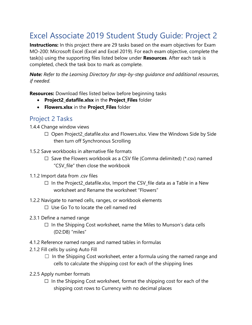## <span id="page-10-0"></span>Excel Associate 2019 Student Study Guide: Project 2

**Instructions:** In this project there are 29 tasks based on the exam objectives for Exam MO-200: Microsoft Excel (Excel and Excel 2019). For each exam objective, complete the task(s) using the supporting files listed below under **Resources**. After each task is completed, check the task box to mark as complete.

*Note: Refer to the Learning Directory for step-by-step guidance and additional resources, if needed.*

**Resources:** Download files listed below before beginning tasks

- **Project2\_datafile.xlsx** in the **Project\_Files** folder
- **Flowers.xlsx** in the **Project\_Files** folder

#### Project 2 Tasks

1.4.4 Change window views

- ☐ Open Project2\_datafile.xlsx and Flowers.xlsx. View the Windows Side by Side then turn off Synchronous Scrolling
- 1.5.2 Save workbooks in alternative file formats
	- $\Box$  Save the Flowers workbook as a CSV file (Comma delimited) (\*.csv) named "CSV\_file" then close the workbook
- 1.1.2 Import data from .csv files
	- $\Box$  In the Project2 datafile.xlsx, Import the CSV file data as a Table in a New worksheet and Rename the worksheet "Flowers"
- 1.2.2 Navigate to named cells, ranges, or workbook elements ☐ Use Go To to locate the cell named red
- 2.3.1 Define a named range
	- $\Box$  In the Shipping Cost worksheet, name the Miles to Munson's data cells (D2:D8) "miles"
- 4.1.2 Reference named ranges and named tables in formulas
- 2.1.2 Fill cells by using Auto Fill
	- $\Box$  In the Shipping Cost worksheet, enter a formula using the named range and cells to calculate the shipping cost for each of the shipping lines
- 2.2.5 Apply number formats
	- $\Box$  In the Shipping Cost worksheet, format the shipping cost for each of the shipping cost rows to Currency with no decimal places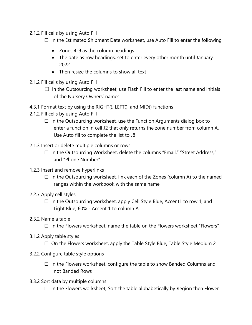- 2.1.2 Fill cells by using Auto Fill
	- $\Box$  In the Estimated Shipment Date worksheet, use Auto Fill to enter the following
		- Zones 4-9 as the column headings
		- The date as row headings, set to enter every other month until January 2022
		- Then resize the columns to show all text
- 2.1.2 Fill cells by using Auto Fill
	- $\Box$  In the Outsourcing worksheet, use Flash Fill to enter the last name and initials of the Nursery Owners' names
- 4.3.1 Format text by using the RIGHT(), LEFT(), and MID() functions
- 2.1.2 Fill cells by using Auto Fill
	- $\Box$  In the Outsourcing worksheet, use the Function Arguments dialog box to enter a function in cell J2 that only returns the zone number from column A. Use Auto fill to complete the list to J8
- 2.1.3 Insert or delete multiple columns or rows
	- ☐ In the Outsourcing Worksheet, delete the columns "Email," "Street Address," and "Phone Number"
- 1.2.3 Insert and remove hyperlinks
	- $\Box$  In the Outsourcing worksheet, link each of the Zones (column A) to the named ranges within the workbook with the same name
- 2.2.7 Apply cell styles
	- ☐ In the Outsourcing worksheet, apply Cell Style Blue, Accent1 to row 1, and Light Blue, 60% - Accent 1 to column A
- 2.3.2 Name a table
	- $\Box$  In the Flowers worksheet, name the table on the Flowers worksheet "Flowers"
- 3.1.2 Apply table styles
	- $\Box$  On the Flowers worksheet, apply the Table Style Blue, Table Style Medium 2
- 3.2.2 Configure table style options
	- ☐ In the Flowers worksheet, configure the table to show Banded Columns and not Banded Rows
- 3.3.2 Sort data by multiple columns
	- $\Box$  In the Flowers worksheet, Sort the table alphabetically by Region then Flower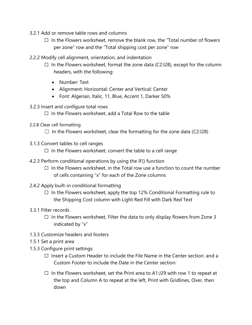- 3.2.1 Add or remove table rows and columns
	- $\Box$  In the Flowers worksheet, remove the blank row, the "Total number of flowers per zone" row and the "Total shipping cost per zone" row
- 2.2.2 Modify cell alignment, orientation, and indentation
	- $\Box$  In the Flowers worksheet, format the zone data (C2:128), except for the column headers, with the following:
		- Number: Text
		- Alignment: Horizontal: Center and Vertical: Center
		- Font: Algerian, Italic, 11, Blue, Accent 1, Darker 50%
- 3.2.3 Insert and configure total rows

 $\Box$  In the Flowers worksheet, add a Total Row to the table

- 2.2.8 Clear cell formatting
	- $\Box$  In the Flowers worksheet, clear the formatting for the zone data (C2:128)
- 3.1.3 Convert tables to cell ranges

 $\Box$  In the Flowers worksheet, convert the table to a cell range

- 4.2.3 Perform conditional operations by using the IF() function
	- $\Box$  In the Flowers worksheet, in the Total row use a function to count the number of cells containing "x" for each of the Zone columns
- 2.4.2 Apply built-in conditional formatting
	- $\Box$  In the Flowers worksheet, apply the top 12% Conditional Formatting rule to the Shipping Cost column with Light Red Fill with Dark Red Text
- 3.3.1 Filter records
	- $\Box$  In the Flowers worksheet, Filter the data to only display flowers from Zone 3 indicated by "x"
- 1.3.3 Customize headers and footers
- 1.5.1 Set a print area
- 1.5.3 Configure print settings
	- $\Box$  Insert a Custom Header to include the File Name in the Center section: and a Custom Footer to include the Date in the Center section:
	- $\Box$  In the Flowers worksheet, set the Print area to A1:J29 with row 1 to repeat at the top and Column A to repeat at the left, Print with Gridlines, Over, then down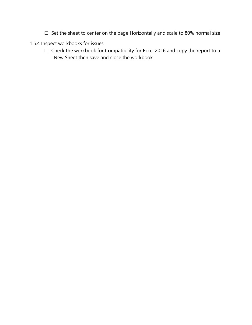- ☐ Set the sheet to center on the page Horizontally and scale to 80% normal size
- 1.5.4 Inspect workbooks for issues
	- ☐ Check the workbook for Compatibility for Excel 2016 and copy the report to a New Sheet then save and close the workbook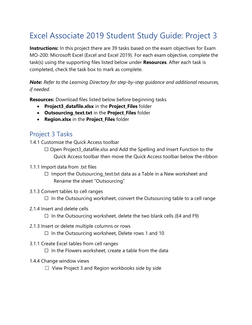## <span id="page-14-0"></span>Excel Associate 2019 Student Study Guide: Project 3

**Instructions:** In this project there are 39 tasks based on the exam objectives for Exam MO-200: Microsoft Excel (Excel and Excel 2019). For each exam objective, complete the task(s) using the supporting files listed below under **Resources**. After each task is completed, check the task box to mark as complete.

#### *Note: Refer to the Learning Directory for step-by-step guidance and additional resources, if needed.*

**Resources:** Download files listed below before beginning tasks

- **Project3\_datafile.xlsx** in the **Project\_Files** folder
- **Outsourcing\_text.txt** in the **Project\_Files** folder
- **Region.xlsx** in the **Project\_Files** folder

#### Project 3 Tasks

1.4.1 Customize the Quick Access toolbar

☐ Open Project3\_datafile.xlsx and Add the Spelling and Insert Function to the Quick Access toolbar then move the Quick Access toolbar below the ribbon

- 1.1.1 Import data from .txt files
	- □ Import the Outsourcing\_text.txt data as a Table in a New worksheet and Rename the sheet "Outsourcing"
- 3.1.3 Convert tables to cell ranges

 $\Box$  In the Outsourcing worksheet, convert the Outsourcing table to a cell range

2.1.4 Insert and delete cells

 $\Box$  In the Outsourcing worksheet, delete the two blank cells (E4 and F9)

2.1.3 Insert or delete multiple columns or rows

 $\Box$  In the Outsourcing worksheet, Delete rows 1 and 10

3.1.1 Create Excel tables from cell ranges

 $\Box$  In the Flowers worksheet, create a table from the data

- 1.4.4 Change window views
	- $\Box$  View Project 3 and Region workbooks side by side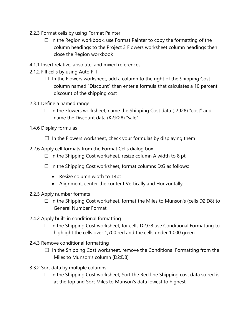- 2.2.3 Format cells by using Format Painter
	- $\Box$  In the Region workbook, use Format Painter to copy the formatting of the column headings to the Project 3 Flowers worksheet column headings then close the Region workbook
- 4.1.1 Insert relative, absolute, and mixed references
- 2.1.2 Fill cells by using Auto Fill
	- $\Box$  In the Flowers worksheet, add a column to the right of the Shipping Cost column named "Discount" then enter a formula that calculates a 10 percent discount of the shipping cost
- 2.3.1 Define a named range
	- ☐ In the Flowers worksheet, name the Shipping Cost data (J2:J28) "cost" and name the Discount data (K2:K28) "sale"
- 1.4.6 Display formulas
	- $\Box$  In the Flowers worksheet, check your formulas by displaying them
- 2.2.6 Apply cell formats from the Format Cells dialog box
	- $\Box$  In the Shipping Cost worksheet, resize column A width to 8 pt
	- $\Box$  In the Shipping Cost worksheet, format columns D:G as follows:
		- Resize column width to 14pt
		- Alignment: center the content Vertically and Horizontally
- 2.2.5 Apply number formats
	- $\Box$  In the Shipping Cost worksheet, format the Miles to Munson's (cells D2:D8) to General Number Format
- 2.4.2 Apply built-in conditional formatting
	- $\Box$  In the Shipping Cost worksheet, for cells D2:G8 use Conditional Formatting to highlight the cells over 1,700 red and the cells under 1,000 green
- 2.4.3 Remove conditional formatting
	- $\Box$  In the Shipping Cost worksheet, remove the Conditional Formatting from the Miles to Munson's column (D2:D8)
- 3.3.2 Sort data by multiple columns
	- $\Box$  In the Shipping Cost worksheet, Sort the Red line Shipping cost data so red is at the top and Sort Miles to Munson's data lowest to highest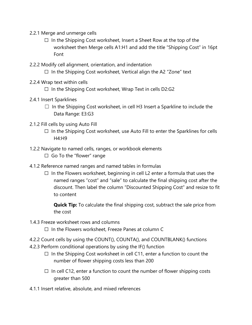- 2.2.1 Merge and unmerge cells
	- $\Box$  In the Shipping Cost worksheet, Insert a Sheet Row at the top of the worksheet then Merge cells A1:H1 and add the title "Shipping Cost" in 16pt Font
- 2.2.2 Modify cell alignment, orientation, and indentation
	- $\Box$  In the Shipping Cost worksheet, Vertical align the A2 "Zone" text
- 2.2.4 Wrap text within cells
	- $\Box$  In the Shipping Cost worksheet, Wrap Text in cells D2:G2
- 2.4.1 Insert Sparklines
	- $\Box$  In the Shipping Cost worksheet, in cell H3 Insert a Sparkline to include the Data Range: E3:G3
- 2.1.2 Fill cells by using Auto Fill
	- $\Box$  In the Shipping Cost worksheet, use Auto Fill to enter the Sparklines for cells H4:H9
- 1.2.2 Navigate to named cells, ranges, or workbook elements
	- □ Go To the "flower" range
- 4.1.2 Reference named ranges and named tables in formulas
	- $\Box$  In the Flowers worksheet, beginning in cell L2 enter a formula that uses the named ranges "cost" and "sale" to calculate the final shipping cost after the discount. Then label the column "Discounted Shipping Cost" and resize to fit to content

**Quick Tip:** To calculate the final shipping cost, subtract the sale price from the cost

- 1.4.3 Freeze worksheet rows and columns
	- $\Box$  In the Flowers worksheet, Freeze Panes at column C
- 4.2.2 Count cells by using the COUNT(), COUNTA(), and COUNTBLANK() functions
- 4.2.3 Perform conditional operations by using the IF() function
	- $\Box$  In the Shipping Cost worksheet in cell C11, enter a function to count the number of flower shipping costs less than 200
	- $\Box$  In cell C12, enter a function to count the number of flower shipping costs greater than 500
- 4.1.1 Insert relative, absolute, and mixed references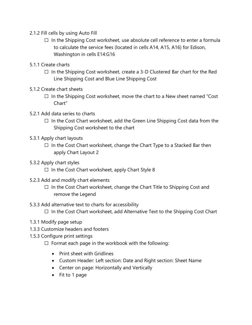- 2.1.2 Fill cells by using Auto Fill
	- $\Box$  In the Shipping Cost worksheet, use absolute cell reference to enter a formula to calculate the service fees (located in cells A14, A15, A16) for Edison, Washington in cells E14:G16
- 5.1.1 Create charts
	- $\Box$  In the Shipping Cost worksheet, create a 3-D Clustered Bar chart for the Red Line Shipping Cost and Blue Line Shipping Cost
- 5.1.2 Create chart sheets
	- $\Box$  In the Shipping Cost worksheet, move the chart to a New sheet named "Cost" Chart"
- 5.2.1 Add data series to charts
	- $\Box$  In the Cost Chart worksheet, add the Green Line Shipping Cost data from the Shipping Cost worksheet to the chart
- 5.3.1 Apply chart layouts
	- $\Box$  In the Cost Chart worksheet, change the Chart Type to a Stacked Bar then apply Chart Layout 2
- 5.3.2 Apply chart styles
	- $\Box$  In the Cost Chart worksheet, apply Chart Style 8
- 5.2.3 Add and modify chart elements
	- ☐ In the Cost Chart worksheet, change the Chart Title to Shipping Cost and remove the Legend
- 5.3.3 Add alternative text to charts for accessibility
	- $\Box$  In the Cost Chart worksheet, add Alternative Text to the Shipping Cost Chart
- 1.3.1 Modify page setup
- 1.3.3 Customize headers and footers
- 1.5.3 Configure print settings
	- $\Box$  Format each page in the workbook with the following:
		- Print sheet with Gridlines
		- Custom Header: Left section: Date and Right section: Sheet Name
		- Center on page: Horizontally and Vertically
		- Fit to 1 page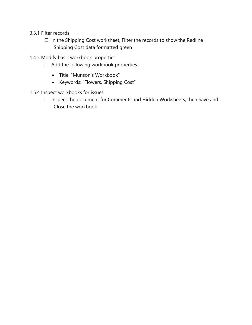- 3.3.1 Filter records
	- □ In the Shipping Cost worksheet, Filter the records to show the Redline Shipping Cost data formatted green
- 1.4.5 Modify basic workbook properties
	- ☐ Add the following workbook properties:
		- Title: "Munson's Workbook"
		- Keywords: "Flowers, Shipping Cost"
- 1.5.4 Inspect workbooks for issues
	- ☐ Inspect the document for Comments and Hidden Worksheets, then Save and Close the workbook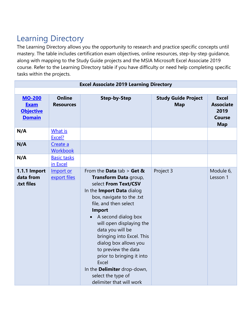# <span id="page-19-0"></span>Learning Directory

The Learning Directory allows you the opportunity to research and practice specific concepts until mastery. The table includes certification exam objectives, online resources, step-by-step guidance, along with mapping to the Study Guide projects and the MSIA Microsoft Excel Associate 2019 course. Refer to the Learning Directory table if you have difficulty or need help completing specific tasks within the projects.

| <b>Excel Associate 2019 Learning Directory</b>                    |                                   |                                                                                                                                                                                                                                                                                                                                                                                                                                                             |                                          |                                                                         |
|-------------------------------------------------------------------|-----------------------------------|-------------------------------------------------------------------------------------------------------------------------------------------------------------------------------------------------------------------------------------------------------------------------------------------------------------------------------------------------------------------------------------------------------------------------------------------------------------|------------------------------------------|-------------------------------------------------------------------------|
|                                                                   |                                   |                                                                                                                                                                                                                                                                                                                                                                                                                                                             |                                          |                                                                         |
| <b>MO-200</b><br><b>Exam</b><br><b>Objective</b><br><b>Domain</b> | <b>Online</b><br><b>Resources</b> | <b>Step-by-Step</b>                                                                                                                                                                                                                                                                                                                                                                                                                                         | <b>Study Guide Project</b><br><b>Map</b> | <b>Excel</b><br><b>Associate</b><br>2019<br><b>Course</b><br><b>Map</b> |
| N/A                                                               | What is<br>Excel?                 |                                                                                                                                                                                                                                                                                                                                                                                                                                                             |                                          |                                                                         |
| N/A                                                               | Create a<br><b>Workbook</b>       |                                                                                                                                                                                                                                                                                                                                                                                                                                                             |                                          |                                                                         |
| N/A                                                               | <b>Basic tasks</b><br>in Excel    |                                                                                                                                                                                                                                                                                                                                                                                                                                                             |                                          |                                                                         |
| 1.1.1 Import<br>data from<br>.txt files                           | Import or<br>export files         | From the Data tab $>$ Get &<br>Transform Data group,<br>select From Text/CSV<br>In the Import Data dialog<br>box, navigate to the .txt<br>file, and then select<br><b>Import</b><br>A second dialog box<br>will open displaying the<br>data you will be<br>bringing into Excel. This<br>dialog box allows you<br>to preview the data<br>prior to bringing it into<br>Excel<br>In the Delimiter drop-down,<br>select the type of<br>delimiter that will work | Project 3                                | Module 6,<br>Lesson 1                                                   |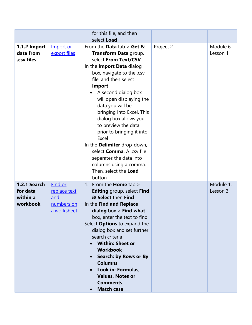|                                                         |                                                             | for this file, and then<br>select Load                                                                                                                                                                                                                                                                                                                                                                                                                                                                                                |           |                       |
|---------------------------------------------------------|-------------------------------------------------------------|---------------------------------------------------------------------------------------------------------------------------------------------------------------------------------------------------------------------------------------------------------------------------------------------------------------------------------------------------------------------------------------------------------------------------------------------------------------------------------------------------------------------------------------|-----------|-----------------------|
| 1.1.2 Import<br>data from<br>.csv files                 | Import or<br>export files                                   | From the Data tab $>$ Get &<br>Transform Data group,<br>select From Text/CSV<br>In the Import Data dialog<br>box, navigate to the .csv<br>file, and then select<br><b>Import</b><br>A second dialog box<br>will open displaying the<br>data you will be<br>bringing into Excel. This<br>dialog box allows you<br>to preview the data<br>prior to bringing it into<br>Excel<br>In the Delimiter drop-down,<br>select <b>Comma.</b> A .csv file<br>separates the data into<br>columns using a comma.<br>Then, select the Load<br>button | Project 2 | Module 6,<br>Lesson 1 |
| <b>1.2.1 Search</b><br>for data<br>within a<br>workbook | Find or<br>replace text<br>and<br>numbers on<br>a worksheet | 1. From the <b>Home</b> tab ><br><b>Editing</b> group, select Find<br>& Select then Find<br>In the Find and Replace<br>dialog $box >$ Find what<br>box, enter the text to find<br>Select <b>Options</b> to expand the<br>dialog box and set further<br>search criteria<br><b>Within: Sheet or</b><br><b>Workbook</b><br><b>Search: by Rows or By</b><br><b>Columns</b><br>Look in: Formulas,<br><b>Values, Notes or</b><br><b>Comments</b><br><b>Match case</b>                                                                       |           | Module 1,<br>Lesson 3 |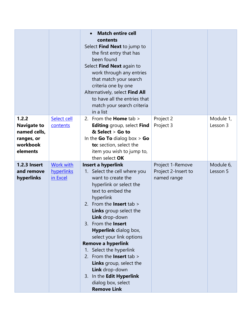|                                                                                   |                                            | <b>Match entire cell</b><br>contents<br>Select Find Next to jump to<br>the first entry that has<br>been found<br>Select Find Next again to<br>work through any entries<br>that match your search<br>criteria one by one<br>Alternatively, select Find All<br>to have all the entries that<br>match your search criteria<br>in a list                                                                                                                                                                                                         |                                                        |                       |
|-----------------------------------------------------------------------------------|--------------------------------------------|----------------------------------------------------------------------------------------------------------------------------------------------------------------------------------------------------------------------------------------------------------------------------------------------------------------------------------------------------------------------------------------------------------------------------------------------------------------------------------------------------------------------------------------------|--------------------------------------------------------|-----------------------|
| 1.2.2<br><b>Navigate to</b><br>named cells,<br>ranges, or<br>workbook<br>elements | Select cell<br>contents                    | 2. From the <b>Home</b> tab $>$<br><b>Editing</b> group, select <b>Find</b><br>$&$ Select $>$ Go to<br>In the Go To dialog box $>$ Go<br>to: section, select the<br>item you wish to jump to,<br>then select OK                                                                                                                                                                                                                                                                                                                              | Project 2<br>Project 3                                 | Module 1,<br>Lesson 3 |
| <b>1.2.3 Insert</b><br>and remove<br>hyperlinks                                   | <b>Work with</b><br>hyperlinks<br>in Excel | Insert a hyperlink<br>1. Select the cell where you<br>want to create the<br>hyperlink or select the<br>text to embed the<br>hyperlink<br>2. From the <b>Insert</b> tab $>$<br><b>Links</b> group select the<br>Link drop-down<br>3. From the <b>Insert</b><br><b>Hyperlink</b> dialog box,<br>select your link options<br><b>Remove a hyperlink</b><br>1. Select the hyperlink<br>From the <b>Insert</b> tab ><br>2.<br>Links group, select the<br>Link drop-down<br>In the Edit Hyperlink<br>3.<br>dialog box, select<br><b>Remove Link</b> | Project 1-Remove<br>Project 2-Insert to<br>named range | Module 6,<br>Lesson 5 |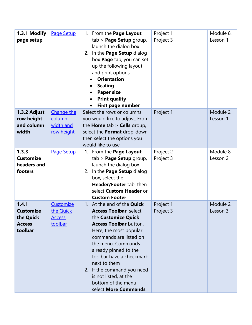| 1.3.1 Modify<br>page setup                                         | <b>Page Setup</b>                                  | 1. From the Page Layout<br>tab > Page Setup group,<br>launch the dialog box<br>2. In the Page Setup dialog<br>box Page tab, you can set<br>up the following layout<br>and print options:<br><b>Orientation</b><br><b>Scaling</b><br><b>Paper size</b><br><b>Print quality</b><br>First page number                                                                              | Project 1<br>Project 3 | Module 8,<br>Lesson 1 |
|--------------------------------------------------------------------|----------------------------------------------------|---------------------------------------------------------------------------------------------------------------------------------------------------------------------------------------------------------------------------------------------------------------------------------------------------------------------------------------------------------------------------------|------------------------|-----------------------|
| 1.3.2 Adjust<br>row height<br>and column<br>width                  | Change the<br>column<br>width and<br>row height    | Select the rows or columns<br>you would like to adjust. From<br>the Home tab > Cells group,<br>select the Format drop-down,<br>then select the options you<br>would like to use                                                                                                                                                                                                 | Project 1              | Module 2,<br>Lesson 1 |
| 1.3.3<br><b>Customize</b><br>headers and<br>footers                | Page Setup                                         | 1. From the Page Layout<br>tab > Page Setup group,<br>launch the dialog box<br>2. In the Page Setup dialog<br>box, select the<br>Header/Footer tab, then<br>select Custom Header or<br><b>Custom Footer</b>                                                                                                                                                                     | Project 2<br>Project 3 | Module 8,<br>Lesson 2 |
| 1.4.1<br><b>Customize</b><br>the Quick<br><b>Access</b><br>toolbar | Customize<br>the Quick<br><u>Access</u><br>toolbar | 1. At the end of the <b>Quick</b><br><b>Access Toolbar, select</b><br>the Customize Quick<br><b>Access Toolbar</b> button.<br>Here, the most popular<br>commands are listed on<br>the menu. Commands<br>already pinned to the<br>toolbar have a checkmark<br>next to them<br>2. If the command you need<br>is not listed, at the<br>bottom of the menu<br>select More Commands. | Project 1<br>Project 3 | Module 2,<br>Lesson 3 |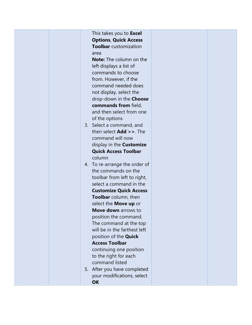|  | This takes you to Excel<br><b>Options, Quick Access</b><br><b>Toolbar</b> customization<br>area<br><b>Note:</b> The column on the<br>left displays a list of<br>commands to choose<br>from. However, if the<br>command needed does<br>not display, select the<br>drop-down in the Choose<br>commands from field,<br>and then select from one<br>of the options<br>3. Select a command, and<br>then select Add >>. The<br>command will now<br>display in the <b>Customize</b><br><b>Quick Access Toolbar</b><br>column<br>4. To re-arrange the order of<br>the commands on the<br>toolbar from left to right,<br>select a command in the<br><b>Customize Quick Access</b><br>Toolbar column, then<br>select the <b>Move up</b> or<br><b>Move down</b> arrows to<br>position the command.<br>The command at the top<br>will be in the farthest left<br>position of the <b>Quick</b><br><b>Access Toolbar</b><br>continuing one position<br>to the right for each<br>command listed<br>5. After you have completed<br>your modifications, select<br><b>OK</b> |  |  |
|--|------------------------------------------------------------------------------------------------------------------------------------------------------------------------------------------------------------------------------------------------------------------------------------------------------------------------------------------------------------------------------------------------------------------------------------------------------------------------------------------------------------------------------------------------------------------------------------------------------------------------------------------------------------------------------------------------------------------------------------------------------------------------------------------------------------------------------------------------------------------------------------------------------------------------------------------------------------------------------------------------------------------------------------------------------------|--|--|
|--|------------------------------------------------------------------------------------------------------------------------------------------------------------------------------------------------------------------------------------------------------------------------------------------------------------------------------------------------------------------------------------------------------------------------------------------------------------------------------------------------------------------------------------------------------------------------------------------------------------------------------------------------------------------------------------------------------------------------------------------------------------------------------------------------------------------------------------------------------------------------------------------------------------------------------------------------------------------------------------------------------------------------------------------------------------|--|--|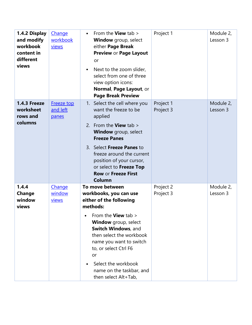| 1.4.2 Display<br>and modify<br>workbook<br>content in<br>different<br>views | Change<br>workbook<br>views     | From the <b>View</b> tab $>$<br>$\bullet$<br>Window group, select<br>either Page Break<br>Preview or Page Layout<br>or<br>Next to the zoom slider,<br>$\bullet$<br>select from one of three<br>view option icons:<br>Normal, Page Layout, or<br><b>Page Break Preview</b>                                                                   | Project 1              | Module 2,<br>Lesson 3 |
|-----------------------------------------------------------------------------|---------------------------------|---------------------------------------------------------------------------------------------------------------------------------------------------------------------------------------------------------------------------------------------------------------------------------------------------------------------------------------------|------------------------|-----------------------|
| 1.4.3 Freeze<br>worksheet<br>rows and<br>columns                            | Freeze top<br>and left<br>panes | 1. Select the cell where you<br>want the freeze to be<br>applied<br>2. From the <b>View</b> tab $>$<br><b>Window</b> group, select<br><b>Freeze Panes</b><br>3. Select Freeze Panes to<br>freeze around the current<br>position of your cursor,<br>or select to Freeze Top<br><b>Row or Freeze First</b><br><b>Column</b>                   | Project 1<br>Project 3 | Module 2,<br>Lesson 3 |
| 1.4.4<br>Change<br>window<br>views                                          | Change<br>window<br>views       | To move between<br>workbooks, you can use<br>either of the following<br>methods:<br>From the View tab ><br><b>Window</b> group, select<br>Switch Windows, and<br>then select the workbook<br>name you want to switch<br>to, or select Ctrl F6<br>or<br>Select the workbook<br>$\bullet$<br>name on the taskbar, and<br>then select Alt+Tab, | Project 2<br>Project 3 | Module 2,<br>Lesson 3 |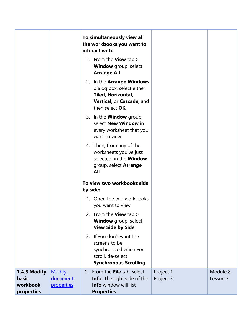|                                                 |                                                              | To simultaneously view all<br>the workbooks you want to<br>interact with:                                                   |                        |                       |
|-------------------------------------------------|--------------------------------------------------------------|-----------------------------------------------------------------------------------------------------------------------------|------------------------|-----------------------|
|                                                 |                                                              | 1. From the <b>View</b> tab $>$<br><b>Window</b> group, select<br><b>Arrange All</b>                                        |                        |                       |
|                                                 |                                                              | 2. In the Arrange Windows<br>dialog box, select either<br>Tiled, Horizontal,<br>Vertical, or Cascade, and<br>then select OK |                        |                       |
|                                                 |                                                              | 3. In the <b>Window</b> group,<br>select New Window in<br>every worksheet that you<br>want to view                          |                        |                       |
|                                                 |                                                              | 4. Then, from any of the<br>worksheets you've just<br>selected, in the Window<br>group, select <b>Arrange</b><br>All        |                        |                       |
|                                                 |                                                              | To view two workbooks side<br>by side:                                                                                      |                        |                       |
|                                                 |                                                              | 1. Open the two workbooks<br>you want to view                                                                               |                        |                       |
|                                                 |                                                              | 2. From the View tab ><br><b>Window</b> group, select<br><b>View Side by Side</b>                                           |                        |                       |
|                                                 |                                                              | 3. If you don't want the<br>screens to be<br>synchronized when you<br>scroll, de-select<br><b>Synchronous Scrolling</b>     |                        |                       |
| 1.4.5 Modify<br>basic<br>workbook<br>properties | <b>Modify</b><br>document<br><i><u><b>properties</b></u></i> | 1. From the File tab, select<br><b>Info.</b> The right side of the<br><b>Info</b> window will list<br><b>Properties</b>     | Project 1<br>Project 3 | Module 8,<br>Lesson 3 |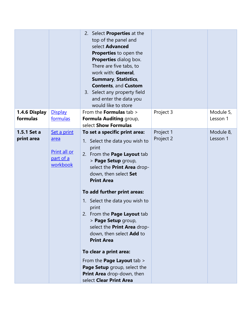|                           |                                                              | 2. Select <b>Properties</b> at the<br>top of the panel and<br>select Advanced<br><b>Properties</b> to open the<br><b>Properties</b> dialog box.<br>There are five tabs, to<br>work with: General,<br><b>Summary, Statistics,</b><br><b>Contents, and Custom</b><br>3. Select any property field<br>and enter the data you<br>would like to store                                                                                                                                                                                                                                           |                        |                       |
|---------------------------|--------------------------------------------------------------|--------------------------------------------------------------------------------------------------------------------------------------------------------------------------------------------------------------------------------------------------------------------------------------------------------------------------------------------------------------------------------------------------------------------------------------------------------------------------------------------------------------------------------------------------------------------------------------------|------------------------|-----------------------|
| 1.4.6 Display<br>formulas | <b>Display</b><br>formulas                                   | From the <b>Formulas</b> tab ><br>Formula Auditing group,<br>select Show Formulas                                                                                                                                                                                                                                                                                                                                                                                                                                                                                                          | Project 3              | Module 5,<br>Lesson 1 |
| 1.5.1 Set a<br>print area | Set a print<br>area<br>Print all or<br>part of a<br>workbook | To set a specific print area:<br>1. Select the data you wish to<br>print<br>2. From the <b>Page Layout</b> tab<br>> Page Setup group,<br>select the Print Area drop-<br>down, then select Set<br><b>Print Area</b><br>To add further print areas:<br>1. Select the data you wish to<br>print<br>2. From the Page Layout tab<br>> Page Setup group,<br>select the Print Area drop-<br>down, then select Add to<br><b>Print Area</b><br>To clear a print area:<br>From the <b>Page Layout</b> tab ><br>Page Setup group, select the<br>Print Area drop-down, then<br>select Clear Print Area | Project 1<br>Project 2 | Module 8,<br>Lesson 1 |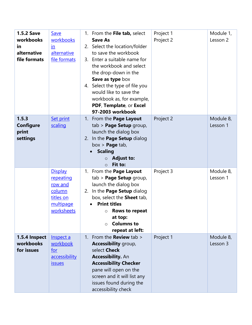| <b>1.5.2 Save</b><br>workbooks<br>in<br>alternative<br>file formats | <b>Save</b><br>workbooks<br>in<br>alternative<br>file formats                            | 1. From the File tab, select<br><b>Save As</b><br>2. Select the location/folder<br>to save the workbook<br>3. Enter a suitable name for<br>the workbook and select<br>the drop-down in the<br>Save as type box<br>4. Select the type of file you<br>would like to save the<br>workbook as, for example,<br>PDF, Template, or Excel<br>97-2003 workbook | Project 1<br>Project 2 | Module 1,<br>Lesson 2 |
|---------------------------------------------------------------------|------------------------------------------------------------------------------------------|--------------------------------------------------------------------------------------------------------------------------------------------------------------------------------------------------------------------------------------------------------------------------------------------------------------------------------------------------------|------------------------|-----------------------|
| 1.5.3<br>Configure<br>print<br>settings                             | <b>Set print</b><br>scaling                                                              | 1. From the Page Layout<br>tab > Page Setup group,<br>launch the dialog box<br>2. In the Page Setup dialog<br>box > <b>Page</b> tab,<br><b>Scaling</b><br><b>Adjust to:</b><br>$\circ$<br>Fit to:<br>$\Omega$                                                                                                                                          | Project 2              | Module 8,<br>Lesson 1 |
|                                                                     | <b>Display</b><br>repeating<br>row and<br>column<br>titles on<br>multipage<br>worksheets | 1. From the Page Layout<br>$tab$ > Page Setup group,<br>launch the dialog box<br>2. In the <b>Page Setup</b> dialog<br>box, select the Sheet tab,<br><b>Print titles</b><br>Rows to repeat<br>O<br>at top:<br><b>Columns to</b><br>$\bigcap$<br>repeat at left:                                                                                        | Project 3              | Module 8,<br>Lesson 1 |
| 1.5.4 Inspect<br>workbooks<br>for issues                            | Inspect a<br>workbook<br>for<br>accessibility<br><u>issues</u>                           | 1. From the <b>Review</b> tab $>$<br>Accessibility group,<br>select Check<br><b>Accessibility.</b> An<br><b>Accessibility Checker</b><br>pane will open on the<br>screen and it will list any<br>issues found during the<br>accessibility check                                                                                                        | Project 1              | Module 8,<br>Lesson 3 |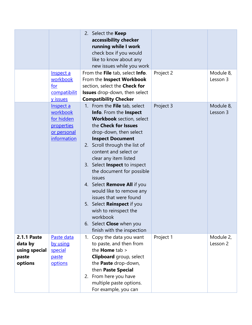|                                                                    | Inspect a<br>workbook<br>for<br>compatibilit<br>y issues                        | 2. Select the Keep<br>accessibility checker<br>running while I work<br>check box if you would<br>like to know about any<br>new issues while you work<br>From the File tab, select Info.<br>From the Inspect Workbook<br>section, select the Check for<br><b>Issues</b> drop-down, then select<br><b>Compatibility Checker</b>                                                                                                                                                                                                                      | Project 2 | Module 8,<br>Lesson 3 |
|--------------------------------------------------------------------|---------------------------------------------------------------------------------|----------------------------------------------------------------------------------------------------------------------------------------------------------------------------------------------------------------------------------------------------------------------------------------------------------------------------------------------------------------------------------------------------------------------------------------------------------------------------------------------------------------------------------------------------|-----------|-----------------------|
|                                                                    | Inspect a<br>workbook<br>for hidden<br>properties<br>or personal<br>information | 1. From the File tab, select<br>Info. From the Inspect<br><b>Workbook</b> section, select<br>the Check for Issues<br>drop-down, then select<br><b>Inspect Document</b><br>2. Scroll through the list of<br>content and select or<br>clear any item listed<br>3. Select Inspect to inspect<br>the document for possible<br>issues<br>4. Select Remove All if you<br>would like to remove any<br>issues that were found<br>5. Select Reinspect if you<br>wish to reinspect the<br>workbook<br>6. Select Close when you<br>finish with the inspection | Project 3 | Module 8,<br>Lesson 3 |
| <b>2.1.1 Paste</b><br>data by<br>using special<br>paste<br>options | Paste data<br>by using<br>special<br>paste<br>options                           | 1. Copy the data you want<br>to paste, and then from<br>the <b>Home</b> $tab$<br><b>Clipboard</b> group, select<br>the <b>Paste</b> drop-down,<br>then Paste Special<br>2. From here you have<br>multiple paste options.<br>For example, you can                                                                                                                                                                                                                                                                                                   | Project 1 | Module 2,<br>Lesson 2 |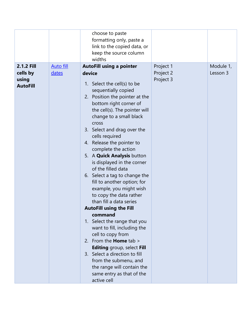|                                      |                  | choose to paste<br>formatting only, paste a<br>link to the copied data, or<br>keep the source column<br>widths                                                                                                                                                                                                                                                                                                                                                                                                                                                                                                                                                                                                                                                                                                                                                                                                             |                                     |           |
|--------------------------------------|------------------|----------------------------------------------------------------------------------------------------------------------------------------------------------------------------------------------------------------------------------------------------------------------------------------------------------------------------------------------------------------------------------------------------------------------------------------------------------------------------------------------------------------------------------------------------------------------------------------------------------------------------------------------------------------------------------------------------------------------------------------------------------------------------------------------------------------------------------------------------------------------------------------------------------------------------|-------------------------------------|-----------|
| 2.1.2 Fill                           | <b>Auto fill</b> |                                                                                                                                                                                                                                                                                                                                                                                                                                                                                                                                                                                                                                                                                                                                                                                                                                                                                                                            |                                     | Module 1, |
| cells by<br>using<br><b>AutoFill</b> | dates            | <b>AutoFill using a pointer</b><br>device<br>1. Select the cell(s) to be<br>sequentially copied<br>2. Position the pointer at the<br>bottom right corner of<br>the cell(s). The pointer will<br>change to a small black<br>cross<br>3. Select and drag over the<br>cells required<br>4. Release the pointer to<br>complete the action<br>5. A <b>Quick Analysis</b> button<br>is displayed in the corner<br>of the filled data<br>6. Select a tag to change the<br>fill to another option; for<br>example, you might wish<br>to copy the data rather<br>than fill a data series<br><b>AutoFill using the Fill</b><br>command<br>1. Select the range that you<br>want to fill, including the<br>cell to copy from<br>2. From the <b>Home</b> tab ><br><b>Editing</b> group, select Fill<br>3. Select a direction to fill<br>from the submenu, and<br>the range will contain the<br>same entry as that of the<br>active cell | Project 1<br>Project 2<br>Project 3 | Lesson 3  |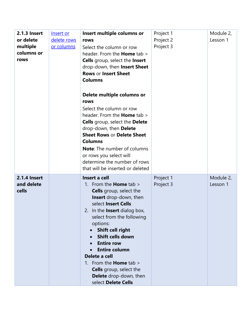| <b>2.1.3 Insert</b><br>or delete<br>multiple<br>columns or<br>rows | Insert or<br>delete rows<br>or columns | Insert multiple columns or<br>rows<br>Select the column or row<br>header. From the <b>Home</b> tab ><br><b>Cells</b> group, select the Insert<br>drop-down, then Insert Sheet<br><b>Rows or Insert Sheet</b><br><b>Columns</b><br>Delete multiple columns or<br>rows<br>Select the column or row<br>header. From the <b>Home</b> tab ><br><b>Cells</b> group, select the Delete<br>drop-down, then Delete<br><b>Sheet Rows or Delete Sheet</b><br><b>Columns</b><br><b>Note:</b> The number of columns<br>or rows you select will<br>determine the number of rows<br>that will be inserted or deleted | Project 1<br>Project 2<br>Project 3 | Module 2,<br>Lesson 1 |
|--------------------------------------------------------------------|----------------------------------------|-------------------------------------------------------------------------------------------------------------------------------------------------------------------------------------------------------------------------------------------------------------------------------------------------------------------------------------------------------------------------------------------------------------------------------------------------------------------------------------------------------------------------------------------------------------------------------------------------------|-------------------------------------|-----------------------|
| <b>2.1.4 Insert</b><br>and delete<br>cells                         |                                        | Insert a cell<br>1. From the <b>Home</b> tab $>$<br><b>Cells</b> group, select the<br><b>Insert</b> drop-down, then<br>select Insert Cells<br>2. In the <b>Insert</b> dialog box,<br>select from the following<br>options:<br>Shift cell right<br>Shift cells down<br><b>Entire row</b><br><b>Entire column</b><br>Delete a cell<br>1. From the <b>Home</b> tab $>$<br><b>Cells</b> group, select the<br><b>Delete</b> drop-down, then<br>select Delete Cells                                                                                                                                         | Project 1<br>Project 3              | Module 2,<br>Lesson 1 |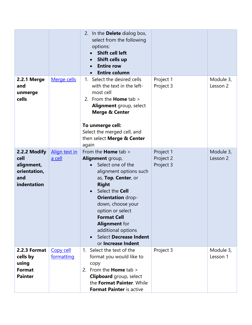|                                                                          |                         | 2. In the <b>Delete</b> dialog box,<br>select from the following<br>options:<br><b>Shift cell left</b><br>Shift cells up<br><b>Entire row</b><br><b>Entire column</b>                                                                                                                                                                                         |                                     |                       |
|--------------------------------------------------------------------------|-------------------------|---------------------------------------------------------------------------------------------------------------------------------------------------------------------------------------------------------------------------------------------------------------------------------------------------------------------------------------------------------------|-------------------------------------|-----------------------|
| <b>2.2.1 Merge</b><br>and<br>unmerge<br>cells                            | Merge cells             | 1. Select the desired cells<br>with the text in the left-<br>most cell<br>2. From the <b>Home</b> tab $>$<br><b>Alignment</b> group, select<br><b>Merge &amp; Center</b><br>To unmerge cell:<br>Select the merged cell, and<br>then select Merge & Center<br>again                                                                                            | Project 1<br>Project 3              | Module 3,<br>Lesson 2 |
| 2.2.2 Modify<br>cell<br>alignment,<br>orientation,<br>and<br>indentation | Align text in<br>a cell | From the <b>Home</b> tab ><br>Alignment group,<br>Select one of the<br>alignment options such<br>as, Top, Center, or<br><b>Right</b><br>Select the Cell<br>$\bullet$<br><b>Orientation drop-</b><br>down, choose your<br>option or select<br><b>Format Cell</b><br><b>Alignment</b> for<br>additional options<br>Select Decrease Indent<br>or Increase Indent | Project 1<br>Project 2<br>Project 3 | Module 3,<br>Lesson 2 |
| 2.2.3 Format<br>cells by<br>using<br><b>Format</b><br><b>Painter</b>     | Copy cell<br>formatting | 1. Select the text of the<br>format you would like to<br>copy<br>2. From the <b>Home</b> tab $>$<br><b>Clipboard</b> group, select<br>the Format Painter. While<br><b>Format Painter is active</b>                                                                                                                                                            | Project 3                           | Module 3,<br>Lesson 1 |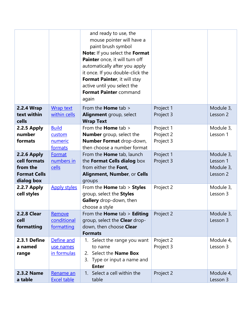|                                                                              |                                        | and ready to use, the<br>mouse pointer will have a<br>paint brush symbol<br>Note: If you select the Format<br>Painter once, it will turn off<br>automatically after you apply<br>it once. If you double-click the |                        |                                                |
|------------------------------------------------------------------------------|----------------------------------------|-------------------------------------------------------------------------------------------------------------------------------------------------------------------------------------------------------------------|------------------------|------------------------------------------------|
|                                                                              |                                        | Format Painter, it will stay<br>active until you select the<br>Format Painter command<br>again                                                                                                                    |                        |                                                |
| 2.2.4 Wrap<br>text within<br>cells                                           | <b>Wrap text</b><br>within cells       | From the <b>Home</b> tab ><br>Alignment group, select<br><b>Wrap Text</b>                                                                                                                                         | Project 1<br>Project 3 | Module 3,<br>Lesson 2                          |
| 2.2.5 Apply<br>number                                                        | <b>Build</b><br>custom                 | From the <b>Home</b> tab ><br><b>Number</b> group, select the                                                                                                                                                     | Project 1<br>Project 2 | Module 3,<br>Lesson 1                          |
| formats                                                                      | numeric<br>formats                     | Number Format drop-down,<br>then choose a number format                                                                                                                                                           | Project 3              |                                                |
| 2.2.6 Apply<br>cell formats<br>from the<br><b>Format Cells</b><br>dialog box | Format<br>numbers in<br>cells          | From the <b>Home</b> tab, launch<br>the Format Cells dialog box<br>from either the Font,<br>Alignment, Number, or Cells<br>groups                                                                                 | Project 1<br>Project 3 | Module 3,<br>Lesson 1<br>Module 3,<br>Lesson 2 |
| 2.2.7 Apply<br>cell styles                                                   | <b>Apply styles</b>                    | From the <b>Home</b> $tab >$ <b>Styles</b><br>group, select the Styles<br>Gallery drop-down, then<br>choose a style                                                                                               | Project 2              | Module 3,<br>Lesson 3                          |
| <b>2.2.8 Clear</b><br>cell<br>formatting                                     | Remove<br>conditional<br>formatting    | From the <b>Home</b> tab > <b>Editing</b><br>group, select the <b>Clear</b> drop-<br>down, then choose Clear<br><b>Formats</b>                                                                                    | Project 2              | Module 3,<br>Lesson 3                          |
| 2.3.1 Define<br>a named<br>range                                             | Define and<br>use names<br>in formulas | 1. Select the range you want<br>to name<br>Select the <b>Name Box</b><br>2.<br>Type or input a name and<br>3.<br><b>Enter</b>                                                                                     | Project 2<br>Project 3 | Module 4,<br>Lesson 3                          |
| <b>2.3.2 Name</b><br>a table                                                 | Rename an<br><b>Excel table</b>        | 1. Select a cell within the<br>table                                                                                                                                                                              | Project 2              | Module 4,<br>Lesson 3                          |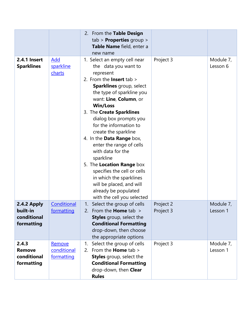|                                                      |                                     | 2. From the Table Design<br>$tab$ > Properties group ><br>Table Name field, enter a<br>new name                                                                                                                                                                                                                                                                                                                                                                                                                                                                                                 |                        |                       |
|------------------------------------------------------|-------------------------------------|-------------------------------------------------------------------------------------------------------------------------------------------------------------------------------------------------------------------------------------------------------------------------------------------------------------------------------------------------------------------------------------------------------------------------------------------------------------------------------------------------------------------------------------------------------------------------------------------------|------------------------|-----------------------|
| 2.4.1 Insert<br><b>Sparklines</b>                    | Add<br>sparkline<br>charts          | 1. Select an empty cell near<br>the data you want to<br>represent<br>2. From the <b>Insert</b> tab $>$<br><b>Sparklines</b> group, select<br>the type of sparkline you<br>want: Line, Column, or<br><b>Win/Loss</b><br>3. The Create Sparklines<br>dialog box prompts you<br>for the information to<br>create the sparkline<br>4. In the Data Range box,<br>enter the range of cells<br>with data for the<br>sparkline<br>5. The Location Range box<br>specifies the cell or cells<br>in which the sparklines<br>will be placed, and will<br>already be populated<br>with the cell you selected | Project 3              | Module 7,<br>Lesson 6 |
| 2.4.2 Apply<br>built-in<br>conditional<br>formatting | Conditional<br>formatting           | Select the group of cells<br>1.<br>2. From the <b>Home</b> tab ><br><b>Styles</b> group, select the<br><b>Conditional Formatting</b><br>drop-down, then choose<br>the appropriate options                                                                                                                                                                                                                                                                                                                                                                                                       | Project 2<br>Project 3 | Module 7,<br>Lesson 1 |
| 2.4.3<br><b>Remove</b><br>conditional<br>formatting  | Remove<br>conditional<br>formatting | Select the group of cells<br>1.<br>2. From the <b>Home</b> tab $>$<br>Styles group, select the<br><b>Conditional Formatting</b><br>drop-down, then Clear<br><b>Rules</b>                                                                                                                                                                                                                                                                                                                                                                                                                        | Project 3              | Module 7,<br>Lesson 1 |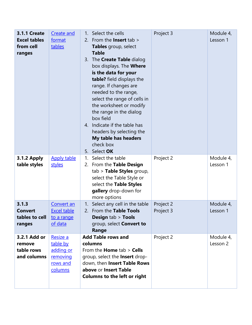| <b>3.1.1 Create</b><br><b>Excel tables</b><br>from cell<br>ranges | Create and<br>format<br>tables                                       | Select the cells<br>$1_{1}$<br>From the <b>Insert</b> tab $>$<br>2.<br>Tables group, select<br><b>Table</b><br>The <b>Create Table</b> dialog<br>3.<br>box displays. The <b>Where</b><br>is the data for your<br>table? field displays the<br>range. If changes are<br>needed to the range,<br>select the range of cells in<br>the worksheet or modify<br>the range in the dialog<br>box field<br>4. Indicate if the table has<br>headers by selecting the<br>My table has headers<br>check box<br>5. Select OK | Project 3              | Module 4,<br>Lesson 1 |
|-------------------------------------------------------------------|----------------------------------------------------------------------|-----------------------------------------------------------------------------------------------------------------------------------------------------------------------------------------------------------------------------------------------------------------------------------------------------------------------------------------------------------------------------------------------------------------------------------------------------------------------------------------------------------------|------------------------|-----------------------|
| <b>3.1.2 Apply</b><br>table styles                                | <b>Apply table</b><br>styles                                         | Select the table<br>1.<br>2. From the Table Design<br>tab > Table Styles group,<br>select the Table Style or<br>select the Table Styles<br>gallery drop-down for<br>more options                                                                                                                                                                                                                                                                                                                                | Project 2              | Module 4,<br>Lesson 1 |
| 3.1.3<br><b>Convert</b><br>tables to cell<br>ranges               | Convert an<br><b>Excel table</b><br>to a range<br>of data            | Select any cell in the table<br>1.<br>2. From the Table Tools<br><b>Design tab &gt; Tools</b><br>group, select Convert to<br>Range                                                                                                                                                                                                                                                                                                                                                                              | Project 2<br>Project 3 | Module 4,<br>Lesson 1 |
| 3.2.1 Add or<br>remove<br>table rows<br>and columns               | Resize a<br>table by<br>adding or<br>removing<br>rows and<br>columns | <b>Add Table rows and</b><br>columns<br>From the <b>Home</b> $tab >$ <b>Cells</b><br>group, select the Insert drop-<br>down, then Insert Table Rows<br>above or Insert Table<br><b>Columns to the left or right</b>                                                                                                                                                                                                                                                                                             | Project 2              | Module 4,<br>Lesson 2 |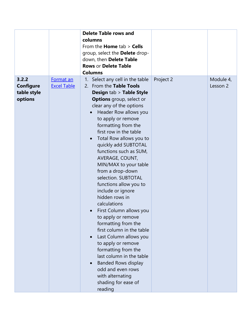|                                                     |                                 | <b>Delete Table rows and</b><br>columns<br>From the <b>Home</b> $tab >$ <b>Cells</b><br>group, select the Delete drop-<br>down, then Delete Table<br><b>Rows or Delete Table</b><br><b>Columns</b>                                                                                                                                                                                                                                                                                                                                                                                                                                                                                                                                                                                                                                              |           |                       |
|-----------------------------------------------------|---------------------------------|-------------------------------------------------------------------------------------------------------------------------------------------------------------------------------------------------------------------------------------------------------------------------------------------------------------------------------------------------------------------------------------------------------------------------------------------------------------------------------------------------------------------------------------------------------------------------------------------------------------------------------------------------------------------------------------------------------------------------------------------------------------------------------------------------------------------------------------------------|-----------|-----------------------|
| 3.2.2<br><b>Configure</b><br>table style<br>options | Format an<br><b>Excel Table</b> | Select any cell in the table<br>2. From the Table Tools<br><b>Design tab &gt; Table Style</b><br><b>Options</b> group, select or<br>clear any of the options<br>Header Row allows you<br>to apply or remove<br>formatting from the<br>first row in the table<br>Total Row allows you to<br>$\bullet$<br>quickly add SUBTOTAL<br>functions such as SUM,<br>AVERAGE, COUNT,<br>MIN/MAX to your table<br>from a drop-down<br>selection. SUBTOTAL<br>functions allow you to<br>include or ignore<br>hidden rows in<br>calculations<br>First Column allows you<br>to apply or remove<br>formatting from the<br>first column in the table<br>Last Column allows you<br>to apply or remove<br>formatting from the<br>last column in the table<br><b>Banded Rows display</b><br>odd and even rows<br>with alternating<br>shading for ease of<br>reading | Project 2 | Module 4,<br>Lesson 2 |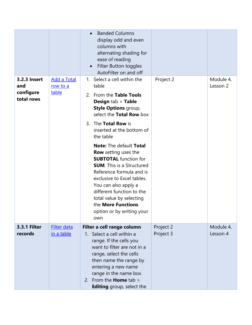|                                                |                                         | <b>Banded Columns</b><br>display odd and even<br>columns with<br>alternating shading for<br>ease of reading<br>Filter Button toggles<br>AutoFilter on and off                                                                                                                                        |                        |                       |
|------------------------------------------------|-----------------------------------------|------------------------------------------------------------------------------------------------------------------------------------------------------------------------------------------------------------------------------------------------------------------------------------------------------|------------------------|-----------------------|
| 3.2.3 Insert<br>and<br>configure<br>total rows | <b>Add a Total</b><br>row to a<br>table | Select a cell within the<br>1.<br>table<br>From the Table Tools<br>2.<br><b>Design tab &gt; Table</b><br>Style Options group,<br>select the Total Row box                                                                                                                                            | Project 2              | Module 4,<br>Lesson 2 |
|                                                |                                         | 3. The Total Row is<br>inserted at the bottom of<br>the table<br>Note: The default Total                                                                                                                                                                                                             |                        |                       |
|                                                |                                         | <b>Row</b> setting uses the<br><b>SUBTOTAL</b> function for<br><b>SUM.</b> This is a Structured<br>Reference formula and is<br>exclusive to Excel tables.<br>You can also apply a<br>different function to the<br>total value by selecting<br>the More Functions<br>option or by writing your<br>own |                        |                       |
| <b>3.3.1 Filter</b><br>records                 | Filter data<br>in a table               | Filter a cell range column<br>1. Select a cell within a<br>range. If the cells you<br>want to filter are not in a<br>range, select the cells<br>then name the range by<br>entering a new name<br>range in the name box<br>2. From the <b>Home</b> tab $>$<br><b>Editing</b> group, select the        | Project 2<br>Project 3 | Module 4,<br>Lesson 4 |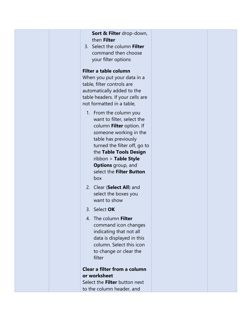| Sort & Filter drop-down,<br>then Filter<br>3. Select the column Filter<br>command then choose<br>your filter options                                                                                                                                                                 |  |
|--------------------------------------------------------------------------------------------------------------------------------------------------------------------------------------------------------------------------------------------------------------------------------------|--|
| Filter a table column<br>When you put your data in a<br>table, filter controls are<br>automatically added to the<br>table headers. If your cells are<br>not formatted in a table,                                                                                                    |  |
| 1. From the column you<br>want to filter, select the<br>column Filter option. If<br>someone working in the<br>table has previously<br>turned the filter off, go to<br>the Table Tools Design<br>ribbon > Table Style<br><b>Options</b> group, and<br>select the Filter Button<br>box |  |
| 2. Clear (Select All) and<br>select the boxes you<br>want to show                                                                                                                                                                                                                    |  |
| 3.<br>Select OK                                                                                                                                                                                                                                                                      |  |
| 4. The column Filter<br>command icon changes<br>indicating that not all<br>data is displayed in this<br>column. Select this icon<br>to change or clear the<br>filter                                                                                                                 |  |
| Clear a filter from a column<br>or worksheet                                                                                                                                                                                                                                         |  |
| Select the Filter button next<br>to the column header, and                                                                                                                                                                                                                           |  |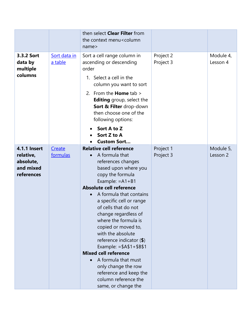|                                                                          |                         | then select Clear Filter from<br>the context menu <column<br>name&gt;</column<br>                                                                                                                                                                                                                                                                                                                                                                                                                                                                           |                        |                       |
|--------------------------------------------------------------------------|-------------------------|-------------------------------------------------------------------------------------------------------------------------------------------------------------------------------------------------------------------------------------------------------------------------------------------------------------------------------------------------------------------------------------------------------------------------------------------------------------------------------------------------------------------------------------------------------------|------------------------|-----------------------|
| 3.3.2 Sort<br>data by<br>multiple<br>columns                             | Sort data in<br>a table | Sort a cell range column in<br>ascending or descending<br>order<br>1. Select a cell in the<br>column you want to sort<br>2. From the <b>Home</b> tab $>$<br><b>Editing</b> group, select the<br>Sort & Filter drop-down<br>then choose one of the<br>following options:<br>Sort A to Z<br>Sort Z to A                                                                                                                                                                                                                                                       | Project 2<br>Project 3 | Module 4,<br>Lesson 4 |
|                                                                          |                         | <b>Custom Sort</b>                                                                                                                                                                                                                                                                                                                                                                                                                                                                                                                                          |                        |                       |
| <b>4.1.1 Insert</b><br>relative,<br>absolute,<br>and mixed<br>references | Create<br>formulas      | <b>Relative cell reference</b><br>A formula that<br>references changes<br>based upon where you<br>copy the formula<br>Example: $=A1+B1$<br>Absolute cell reference<br>A formula that contains<br>a specific cell or range<br>of cells that do not<br>change regardless of<br>where the formula is<br>copied or moved to,<br>with the absolute<br>reference indicator $(\$)$<br>Example: $= $A$1+$B$1$<br><b>Mixed cell reference</b><br>A formula that must<br>only change the row<br>reference and keep the<br>column reference the<br>same, or change the | Project 1<br>Project 3 | Module 5,<br>Lesson 2 |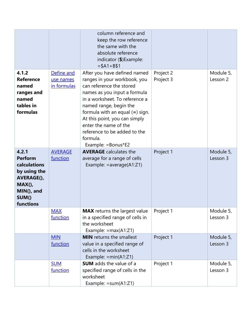|                                                                                                                        |                                        | column reference and<br>keep the row reference<br>the same with the<br>absolute reference<br>indicator (\$) Example:<br>$= $A1 + B $1$                                                                                                                                                                                                                 |                        |                       |
|------------------------------------------------------------------------------------------------------------------------|----------------------------------------|--------------------------------------------------------------------------------------------------------------------------------------------------------------------------------------------------------------------------------------------------------------------------------------------------------------------------------------------------------|------------------------|-----------------------|
| 4.1.2<br><b>Reference</b><br>named<br>ranges and<br>named<br>tables in<br>formulas                                     | Define and<br>use names<br>in formulas | After you have defined named<br>ranges in your workbook, you<br>can reference the stored<br>names as you input a formula<br>in a worksheet. To reference a<br>named range, begin the<br>formula with an equal $(=)$ sign.<br>At this point, you can simply<br>enter the name of the<br>reference to be added to the<br>formula.<br>Example: = Bonus*E2 | Project 2<br>Project 3 | Module 5,<br>Lesson 2 |
| 4.2.1<br><b>Perform</b><br>calculations<br>by using the<br>AVERAGE(),<br>$MAX()$ ,<br>MIN(), and<br>SUM()<br>functions | <b>AVERAGE</b><br>function             | <b>AVERAGE</b> calculates the<br>average for a range of cells<br>Example: $= average(A1:Z1)$                                                                                                                                                                                                                                                           | Project 1              | Module 5,<br>Lesson 3 |
|                                                                                                                        | <b>MAX</b><br>function                 | <b>MAX</b> returns the largest value<br>in a specified range of cells in<br>the worksheet<br>Example: $= max(A1:Z1)$                                                                                                                                                                                                                                   | Project 1              | Module 5,<br>Lesson 3 |
|                                                                                                                        | <b>MIN</b><br>function                 | <b>MIN</b> returns the smallest<br>value in a specified range of<br>cells in the worksheet<br>Example: $= min(A1:Z1)$                                                                                                                                                                                                                                  | Project 1              | Module 5,<br>Lesson 3 |
|                                                                                                                        | <b>SUM</b><br>function                 | <b>SUM</b> adds the value of a<br>specified range of cells in the<br>worksheet<br>Example: $= sum(A1:Z1)$                                                                                                                                                                                                                                              | Project 1              | Module 5,<br>Lesson 3 |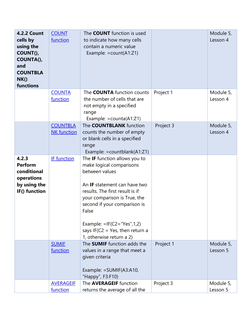| <b>4.2.2 Count</b><br>cells by<br>using the<br>COUNT(),<br>COUNTA(),<br>and<br><b>COUNTBLA</b><br>NK()<br>functions | <b>COUNT</b><br>function              | The <b>COUNT</b> function is used<br>to indicate how many cells<br>contain a numeric value<br>Example: $=$ count(A1:Z1)                                                                                                                                                                                                      |           | Module 5,<br>Lesson 4 |
|---------------------------------------------------------------------------------------------------------------------|---------------------------------------|------------------------------------------------------------------------------------------------------------------------------------------------------------------------------------------------------------------------------------------------------------------------------------------------------------------------------|-----------|-----------------------|
|                                                                                                                     | <b>COUNTA</b><br>function             | The <b>COUNTA</b> function counts<br>the number of cells that are<br>not empty in a specified<br>range<br>Example: $=$ counta(A1:Z1)                                                                                                                                                                                         | Project 1 | Module 5,<br>Lesson 4 |
|                                                                                                                     | <b>COUNTBLA</b><br><b>NK</b> function | The <b>COUNTBLANK</b> function<br>counts the number of empty<br>or blank cells in a specified<br>range<br>Example: = countblank(A1:Z1)                                                                                                                                                                                       | Project 3 | Module 5,<br>Lesson 4 |
| 4.2.3<br><b>Perform</b><br>conditional<br>operations<br>by using the<br>IF() function                               | IF function                           | The IF function allows you to<br>make logical comparisons<br>between values<br>An IF statement can have two<br>results. The first result is if<br>your comparison is True, the<br>second if your comparison is<br>False<br>Example: $=IF(C2="Yes", 1, 2)$<br>says IF( $C2 = Yes$ , then return a<br>1, otherwise return a 2) |           |                       |
|                                                                                                                     | <b>SUMIF</b><br>function              | The <b>SUMIF</b> function adds the<br>values in a range that meet a<br>given criteria<br>Example: $=$ SUMIF(A3:A10,<br>"Happy", F3:F10)                                                                                                                                                                                      | Project 1 | Module 5,<br>Lesson 5 |
|                                                                                                                     | <b>AVERAGEIF</b><br>function          | The <b>AVERAGEIF</b> function<br>returns the average of all the                                                                                                                                                                                                                                                              | Project 3 | Module 5,<br>Lesson 5 |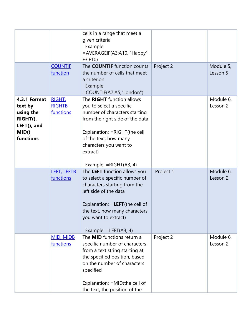|                     |                  | cells in a range that meet a       |           |           |
|---------------------|------------------|------------------------------------|-----------|-----------|
|                     |                  | given criteria                     |           |           |
|                     |                  | Example:                           |           |           |
|                     |                  | =AVERAGEIF(A3:A10, "Happy",        |           |           |
|                     |                  | F3: F10                            |           |           |
|                     | <b>COUNTIF</b>   | The <b>COUNTIF</b> function counts | Project 2 | Module 5, |
|                     | function         | the number of cells that meet      |           | Lesson 5  |
|                     |                  | a criterion                        |           |           |
|                     |                  | Example:                           |           |           |
|                     |                  | =COUNTIF(A2:A5,"London")           |           |           |
| <b>4.3.1 Format</b> | RIGHT,           | The RIGHT function allows          |           | Module 6, |
| text by             | <b>RIGHTB</b>    | you to select a specific           |           | Lesson 2  |
| using the           | functions        | number of characters starting      |           |           |
| RIGHT(),            |                  | from the right side of the data    |           |           |
| LEFT(), and         |                  |                                    |           |           |
| MID()               |                  | Explanation: = RIGHT(the cell      |           |           |
| functions           |                  | of the text, how many              |           |           |
|                     |                  | characters you want to             |           |           |
|                     |                  | extract)                           |           |           |
|                     |                  |                                    |           |           |
|                     |                  | Example: $=RIGHT(A3, 4)$           |           |           |
|                     | LEFT, LEFTB      | The LEFT function allows you       | Project 1 | Module 6, |
|                     | functions        | to select a specific number of     |           | Lesson 2  |
|                     |                  | characters starting from the       |           |           |
|                     |                  | left side of the data              |           |           |
|                     |                  |                                    |           |           |
|                     |                  | Explanation: = LEFT(the cell of    |           |           |
|                     |                  | the text, how many characters      |           |           |
|                     |                  | you want to extract)               |           |           |
|                     |                  |                                    |           |           |
|                     |                  | Example: = LEFT(A3, 4)             |           |           |
|                     | <b>MID, MIDB</b> | The <b>MID</b> functions return a  | Project 2 | Module 6, |
|                     | functions        | specific number of characters      |           | Lesson 2  |
|                     |                  | from a text string starting at     |           |           |
|                     |                  | the specified position, based      |           |           |
|                     |                  | on the number of characters        |           |           |
|                     |                  | specified                          |           |           |
|                     |                  |                                    |           |           |
|                     |                  | Explanation: = MID(the cell of     |           |           |
|                     |                  | the text, the position of the      |           |           |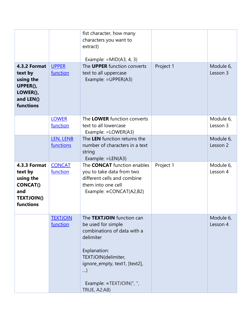| 4.3.2 Format<br>text by<br>using the<br>UPPER(),<br>LOWER(),<br>and LEN()<br>functions           | <b>UPPER</b><br>function    | fist character, how many<br>characters you want to<br>extract)<br>Example: $=MID(A3, 4, 3)$<br>The <b>UPPER</b> function converts<br>text to all uppercase<br>Example: = UPPER(A3)                                          | Project 1 | Module 6,<br>Lesson 3 |
|--------------------------------------------------------------------------------------------------|-----------------------------|-----------------------------------------------------------------------------------------------------------------------------------------------------------------------------------------------------------------------------|-----------|-----------------------|
|                                                                                                  | <b>LOWER</b><br>function    | The LOWER function converts<br>text to all lowercase<br>Example: = LOWER(A3)                                                                                                                                                |           | Module 6,<br>Lesson 3 |
|                                                                                                  | LEN, LENB<br>functions      | The LEN function returns the<br>number of characters in a text<br>string<br>Example: $=LEN(A3)$                                                                                                                             |           | Module 6,<br>Lesson 2 |
| 4.3.3 Format<br>text by<br>using the<br><b>CONCAT()</b><br>and<br><b>TEXTJOIN()</b><br>functions | <b>CONCAT</b><br>function   | The <b>CONCAT</b> function enables<br>you to take data from two<br>different cells and combine<br>them into one cell<br>Example: = CONCAT(A2,B2)                                                                            | Project 1 | Module 6,<br>Lesson 4 |
|                                                                                                  | <b>TEXTJOIN</b><br>function | The TEXTJOIN function can<br>be used for simple<br>combinations of data with a<br>delimiter<br>Explanation:<br>TEXTJOIN(delimiter,<br>ignore_empty, text1, [text2],<br>)<br>Example: =TEXTJOIN(", ",<br><b>TRUE, A2:A8)</b> |           | Module 6,<br>Lesson 4 |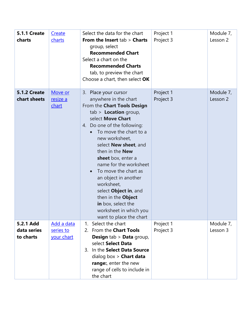| <b>5.1.1 Create</b><br>charts         | Create<br>charts                      | Select the data for the chart<br>From the Insert $tab$ > Charts<br>group, select<br><b>Recommended Chart</b><br>Select a chart on the<br><b>Recommended Charts</b><br>tab, to preview the chart<br>Choose a chart, then select OK                                                                                                                                                                                                                                                                               | Project 1<br>Project 3 | Module 7,<br>Lesson 2 |
|---------------------------------------|---------------------------------------|-----------------------------------------------------------------------------------------------------------------------------------------------------------------------------------------------------------------------------------------------------------------------------------------------------------------------------------------------------------------------------------------------------------------------------------------------------------------------------------------------------------------|------------------------|-----------------------|
| <b>5.1.2 Create</b><br>chart sheets   | Move or<br>resize a<br>chart          | 3. Place your cursor<br>anywhere in the chart<br>From the Chart Tools Design<br>$tab$ > <b>Location</b> group,<br>select Move Chart<br>4. Do one of the following:<br>To move the chart to a<br>new worksheet,<br>select New sheet, and<br>then in the New<br>sheet box, enter a<br>name for the worksheet<br>To move the chart as<br>$\bullet$<br>an object in another<br>worksheet,<br>select Object in, and<br>then in the Object<br>in box, select the<br>worksheet in which you<br>want to place the chart | Project 1<br>Project 3 | Module 7,<br>Lesson 2 |
| 5.2.1 Add<br>data series<br>to charts | Add a data<br>series to<br>your chart | Select the chart<br>$1_{\cdot}$<br>2. From the Chart Tools<br><b>Design tab &gt; Data group,</b><br>select Select Data<br>3. In the Select Data Source<br>dialog box $>$ Chart data<br>range:, enter the new<br>range of cells to include in<br>the chart                                                                                                                                                                                                                                                       | Project 1<br>Project 3 | Module 7,<br>Lesson 3 |